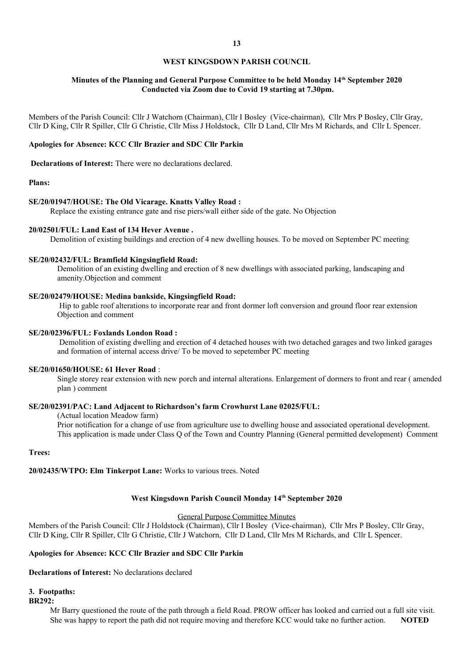# **WEST KINGSDOWN PARISH COUNCIL**

## **Minutes of the Planning and General Purpose Committee to be held Monday 14th September 2020 Conducted via Zoom due to Covid 19 starting at 7.30pm.**

Members of the Parish Council: Cllr J Watchorn (Chairman), Cllr I Bosley (Vice-chairman), Cllr Mrs P Bosley, Cllr Gray, Cllr D King, Cllr R Spiller, Cllr G Christie, Cllr Miss J Holdstock, Cllr D Land, Cllr Mrs M Richards, and Cllr L Spencer.

## **Apologies for Absence: KCC Cllr Brazier and SDC Cllr Parkin**

 **Declarations of Interest:** There were no declarations declared.

## **Plans:**

#### **SE/20/01947/HOUSE: The Old Vicarage. Knatts Valley Road :**

Replace the existing entrance gate and rise piers/wall either side of the gate. No Objection

## **20/02501/FUL: Land East of 134 Hever Avenue .**

Demolition of existing buildings and erection of 4 new dwelling houses. To be moved on September PC meeting

#### **SE/20/02432/FUL: Bramfield Kingsingfield Road:**

Demolition of an existing dwelling and erection of 8 new dwellings with associated parking, landscaping and amenity.Objection and comment

### **SE/20/02479/HOUSE: Medina bankside, Kingsingfield Road:**

 Hip to gable roof alterations to incorporate rear and front dormer loft conversion and ground floor rear extension Objection and comment

### **SE/20/02396/FUL: Foxlands London Road :**

 Demolition of existing dwelling and erection of 4 detached houses with two detached garages and two linked garages and formation of internal access drive/ To be moved to sepetember PC meeting

#### **SE/20/01650/HOUSE: 61 Hever Road** :

Single storey rear extension with new porch and internal alterations. Enlargement of dormers to front and rear ( amended plan ) comment

## **SE/20/02391/PAC: Land Adjacent to Richardson's farm Crowhurst Lane 02025/FUL:**

## (Actual location Meadow farm)

Prior notification for a change of use from agriculture use to dwelling house and associated operational development. This application is made under Class Q of the Town and Country Planning (General permitted development) Comment

#### **Trees:**

**20/02435/WTPO: Elm Tinkerpot Lane:** Works to various trees. Noted

## **West Kingsdown Parish Council Monday 14th September 2020**

### General Purpose Committee Minutes

Members of the Parish Council: Cllr J Holdstock (Chairman), Cllr I Bosley (Vice-chairman), Cllr Mrs P Bosley, Cllr Gray, Cllr D King, Cllr R Spiller, Cllr G Christie, Cllr J Watchorn, Cllr D Land, Cllr Mrs M Richards, and Cllr L Spencer.

# **Apologies for Absence: KCC Cllr Brazier and SDC Cllr Parkin**

## **Declarations of Interest:** No declarations declared

#### **3. Footpaths:**

### **BR292:**

Mr Barry questioned the route of the path through a field Road. PROW officer has looked and carried out a full site visit. She was happy to report the path did not require moving and therefore KCC would take no further action. **NOTED**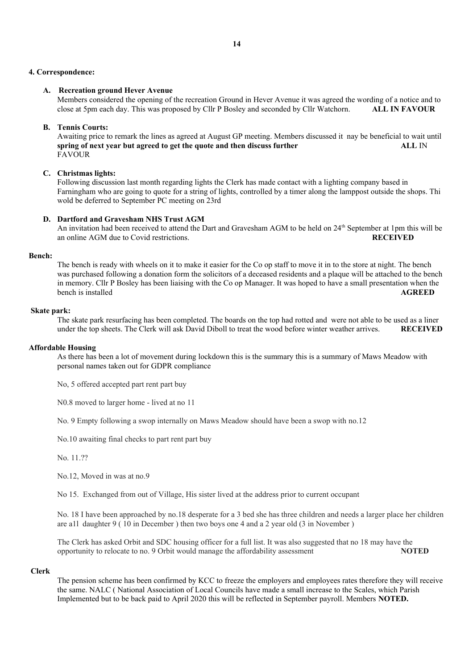## **4. Correspondence:**

# **A. Recreation ground Hever Avenue**

Members considered the opening of the recreation Ground in Hever Avenue it was agreed the wording of a notice and to close at 5pm each day. This was proposed by Cllr P Bosley and seconded by Cllr Watchorn. **ALL IN FAVOUR**

# **B. Tennis Courts:**

Awaiting price to remark the lines as agreed at August GP meeting. Members discussed it nay be beneficial to wait until **spring of next year but agreed to get the quote and then discuss further**  $ALL$  **IN FAVOUR** 

# **C. Christmas lights:**

Following discussion last month regarding lights the Clerk has made contact with a lighting company based in Farningham who are going to quote for a string of lights, controlled by a timer along the lamppost outside the shops. Thi wold be deferred to September PC meeting on 23rd

# **D. Dartford and Gravesham NHS Trust AGM**

An invitation had been received to attend the Dart and Gravesham AGM to be held on  $24<sup>th</sup>$  September at 1pm this will be an online AGM due to Covid restrictions. **RECEIVED** 

## **Bench:**

The bench is ready with wheels on it to make it easier for the Co op staff to move it in to the store at night. The bench was purchased following a donation form the solicitors of a deceased residents and a plaque will be attached to the bench in memory. Cllr P Bosley has been liaising with the Co op Manager. It was hoped to have a small presentation when the bench is installed **AGREED** 

# **Skate park:**

The skate park resurfacing has been completed. The boards on the top had rotted and were not able to be used as a liner under the top sheets. The Clerk will ask David Diboll to treat the wood before winter weather arrives. **RECEIVED**

## **Affordable Housing**

As there has been a lot of movement during lockdown this is the summary this is a summary of Maws Meadow with personal names taken out for GDPR compliance

No, 5 offered accepted part rent part buy

N0.8 moved to larger home - lived at no 11

No. 9 Empty following a swop internally on Maws Meadow should have been a swop with no.12

No.10 awaiting final checks to part rent part buy

No. 11.??

No.12, Moved in was at no.9

No 15. Exchanged from out of Village, His sister lived at the address prior to current occupant

No. 18 I have been approached by no.18 desperate for a 3 bed she has three children and needs a larger place her children are a1l daughter 9 ( 10 in December ) then two boys one 4 and a 2 year old (3 in November )

The Clerk has asked Orbit and SDC housing officer for a full list. It was also suggested that no 18 may have the opportunity to relocate to no. 9 Orbit would manage the affordability assessment **NOTED** 

## **Clerk**

The pension scheme has been confirmed by KCC to freeze the employers and employees rates therefore they will receive the same. NALC ( National Association of Local Councils have made a small increase to the Scales, which Parish Implemented but to be back paid to April 2020 this will be reflected in September payroll. Members **NOTED.**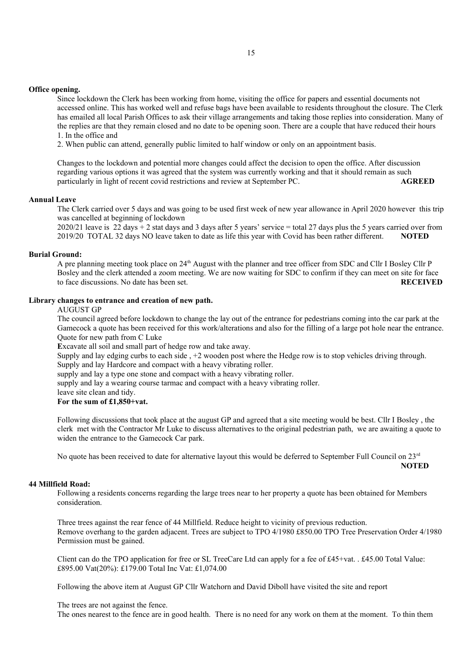## **Office opening.**

Since lockdown the Clerk has been working from home, visiting the office for papers and essential documents not accessed online. This has worked well and refuse bags have been available to residents throughout the closure. The Clerk has emailed all local Parish Offices to ask their village arrangements and taking those replies into consideration. Many of the replies are that they remain closed and no date to be opening soon. There are a couple that have reduced their hours 1. In the office and

2. When public can attend, generally public limited to half window or only on an appointment basis.

Changes to the lockdown and potential more changes could affect the decision to open the office. After discussion regarding various options it was agreed that the system was currently working and that it should remain as such particularly in light of recent covid restrictions and review at September PC. **AGREED** 

# **Annual Leave**

The Clerk carried over 5 days and was going to be used first week of new year allowance in April 2020 however this trip was cancelled at beginning of lockdown

 $2020/21$  leave is 22 days + 2 stat days and 3 days after 5 years' service = total 27 days plus the 5 years carried over from 2019/20 TOTAL 32 days NO leave taken to date as life this year with Covid has been rather different. **NOTED** 

#### **Burial Ground:**

A pre planning meeting took place on 24th August with the planner and tree officer from SDC and Cllr I Bosley Cllr P Bosley and the clerk attended a zoom meeting. We are now waiting for SDC to confirm if they can meet on site for face to face discussions. No date has been set. **RECEIVED**

#### **Library changes to entrance and creation of new path.**

## AUGUST GP

The council agreed before lockdown to change the lay out of the entrance for pedestrians coming into the car park at the Gamecock a quote has been received for this work/alterations and also for the filling of a large pot hole near the entrance. Quote for new path from C Luke

**E**xcavate all soil and small part of hedge row and take away.

Supply and lay edging curbs to each side , +2 wooden post where the Hedge row is to stop vehicles driving through.

Supply and lay Hardcore and compact with a heavy vibrating roller.

supply and lay a type one stone and compact with a heavy vibrating roller.

supply and lay a wearing course tarmac and compact with a heavy vibrating roller.

leave site clean and tidy.

### **For the sum of £1,850+vat.**

Following discussions that took place at the august GP and agreed that a site meeting would be best. Cllr I Bosley , the clerk met with the Contractor Mr Luke to discuss alternatives to the original pedestrian path, we are awaiting a quote to widen the entrance to the Gamecock Car park.

No quote has been received to date for alternative layout this would be deferred to September Full Council on  $23<sup>rd</sup>$ 

## **NOTED**

## **44 Millfield Road:**

Following a residents concerns regarding the large trees near to her property a quote has been obtained for Members consideration.

Three trees against the rear fence of 44 Millfield. Reduce height to vicinity of previous reduction. Remove overhang to the garden adjacent. Trees are subject to TPO 4/1980 £850.00 TPO Tree Preservation Order 4/1980 Permission must be gained.

Client can do the TPO application for free or SL TreeCare Ltd can apply for a fee of £45+vat. . £45.00 Total Value: £895.00 Vat(20%): £179.00 Total Inc Vat: £1,074.00

Following the above item at August GP Cllr Watchorn and David Diboll have visited the site and report

The trees are not against the fence.

The ones nearest to the fence are in good health. There is no need for any work on them at the moment. To thin them